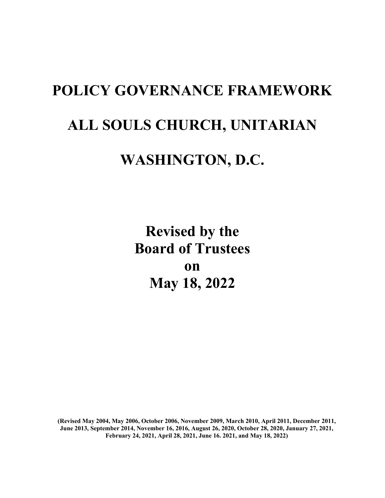# **POLICY GOVERNANCE FRAMEWORK ALL SOULS CHURCH, UNITARIAN WASHINGTON, D.C.**

**Revised by the Board of Trustees on May 18, 2022**

**(Revised May 2004, May 2006, October 2006, November 2009, March 2010, April 2011, December 2011, June 2013, September 2014, November 16, 2016, August 26, 2020, October 28, 2020, January 27, 2021, February 24, 2021, April 28, 2021, June 16. 2021, and May 18, 2022)**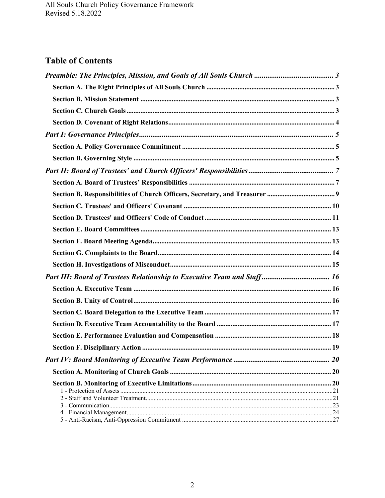## **Table of Contents**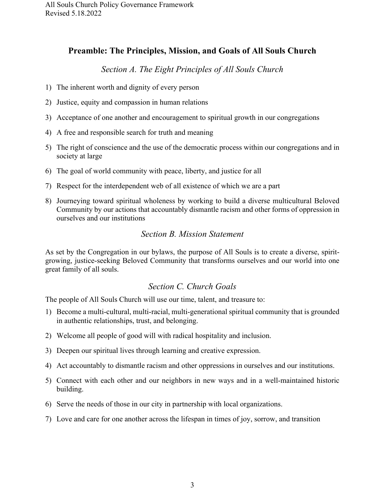### <span id="page-2-0"></span>**Preamble: The Principles, Mission, and Goals of All Souls Church**

#### *Section A. The Eight Principles of All Souls Church*

- <span id="page-2-1"></span>1) The inherent worth and dignity of every person
- 2) Justice, equity and compassion in human relations
- 3) Acceptance of one another and encouragement to spiritual growth in our congregations
- 4) A free and responsible search for truth and meaning
- 5) The right of conscience and the use of the democratic process within our congregations and in society at large
- 6) The goal of world community with peace, liberty, and justice for all
- 7) Respect for the interdependent web of all existence of which we are a part
- 8) Journeying toward spiritual wholeness by working to build a diverse multicultural Beloved Community by our actions that accountably dismantle racism and other forms of oppression in ourselves and our institutions

#### *Section B. Mission Statement*

<span id="page-2-2"></span>As set by the Congregation in our bylaws, the purpose of All Souls is to create a diverse, spiritgrowing, justice-seeking Beloved Community that transforms ourselves and our world into one great family of all souls.

#### *Section C. Church Goals*

<span id="page-2-3"></span>The people of All Souls Church will use our time, talent, and treasure to:

- 1) Become a multi-cultural, multi-racial, multi-generational spiritual community that is grounded in authentic relationships, trust, and belonging.
- 2) Welcome all people of good will with radical hospitality and inclusion.
- 3) Deepen our spiritual lives through learning and creative expression.
- 4) Act accountably to dismantle racism and other oppressions in ourselves and our institutions.
- 5) Connect with each other and our neighbors in new ways and in a well-maintained historic building.
- 6) Serve the needs of those in our city in partnership with local organizations.
- 7) Love and care for one another across the lifespan in times of joy, sorrow, and transition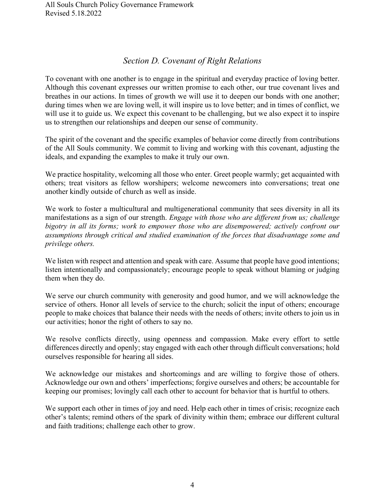## *Section D. Covenant of Right Relations*

<span id="page-3-0"></span>To covenant with one another is to engage in the spiritual and everyday practice of loving better. Although this covenant expresses our written promise to each other, our true covenant lives and breathes in our actions. In times of growth we will use it to deepen our bonds with one another; during times when we are loving well, it will inspire us to love better; and in times of conflict, we will use it to guide us. We expect this covenant to be challenging, but we also expect it to inspire us to strengthen our relationships and deepen our sense of community.

The spirit of the covenant and the specific examples of behavior come directly from contributions of the All Souls community. We commit to living and working with this covenant, adjusting the ideals, and expanding the examples to make it truly our own.

We practice hospitality, welcoming all those who enter. Greet people warmly; get acquainted with others; treat visitors as fellow worshipers; welcome newcomers into conversations; treat one another kindly outside of church as well as inside.

We work to foster a multicultural and multigenerational community that sees diversity in all its manifestations as a sign of our strength. *Engage with those who are different from us; challenge bigotry in all its forms; work to empower those who are disempowered; actively confront our assumptions through critical and studied examination of the forces that disadvantage some and privilege others.*

We listen with respect and attention and speak with care. Assume that people have good intentions; listen intentionally and compassionately; encourage people to speak without blaming or judging them when they do.

We serve our church community with generosity and good humor, and we will acknowledge the service of others. Honor all levels of service to the church; solicit the input of others; encourage people to make choices that balance their needs with the needs of others; invite others to join us in our activities; honor the right of others to say no.

We resolve conflicts directly, using openness and compassion. Make every effort to settle differences directly and openly; stay engaged with each other through difficult conversations; hold ourselves responsible for hearing all sides.

We acknowledge our mistakes and shortcomings and are willing to forgive those of others. Acknowledge our own and others' imperfections; forgive ourselves and others; be accountable for keeping our promises; lovingly call each other to account for behavior that is hurtful to others.

We support each other in times of joy and need. Help each other in times of crisis; recognize each other's talents; remind others of the spark of divinity within them; embrace our different cultural and faith traditions; challenge each other to grow.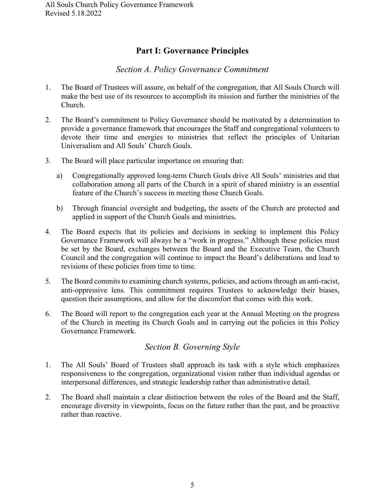## **Part I: Governance Principles**

### *Section A. Policy Governance Commitment*

- <span id="page-4-1"></span><span id="page-4-0"></span>1. The Board of Trustees will assure, on behalf of the congregation, that All Souls Church will make the best use of its resources to accomplish its mission and further the ministries of the Church.
- 2. The Board's commitment to Policy Governance should be motivated by a determination to provide a governance framework that encourages the Staff and congregational volunteers to devote their time and energies to ministries that reflect the principles of Unitarian Universalism and All Souls' Church Goals.
- 3. The Board will place particular importance on ensuring that:
	- a) Congregationally approved long-term Church Goals drive All Souls' ministries and that collaboration among all parts of the Church in a spirit of shared ministry is an essential feature of the Church's success in meeting those Church Goals.
	- b) Through financial oversight and budgeting**,** the assets of the Church are protected and applied in support of the Church Goals and ministries**.**
- 4. The Board expects that its policies and decisions in seeking to implement this Policy Governance Framework will always be a "work in progress." Although these policies must be set by the Board, exchanges between the Board and the Executive Team, the Church Council and the congregation will continue to impact the Board's deliberations and lead to revisions of these policies from time to time.
- 5. The Board commits to examining church systems, policies, and actions through an anti-racist, anti-oppressive lens. This commitment requires Trustees to acknowledge their biases, question their assumptions, and allow for the discomfort that comes with this work.
- 6. The Board will report to the congregation each year at the Annual Meeting on the progress of the Church in meeting its Church Goals and in carrying out the policies in this Policy Governance Framework.

## *Section B. Governing Style*

- <span id="page-4-2"></span>1. The All Souls' Board of Trustees shall approach its task with a style which emphasizes responsiveness to the congregation, organizational vision rather than individual agendas or interpersonal differences, and strategic leadership rather than administrative detail.
- 2. The Board shall maintain a clear distinction between the roles of the Board and the Staff, encourage diversity in viewpoints, focus on the future rather than the past, and be proactive rather than reactive.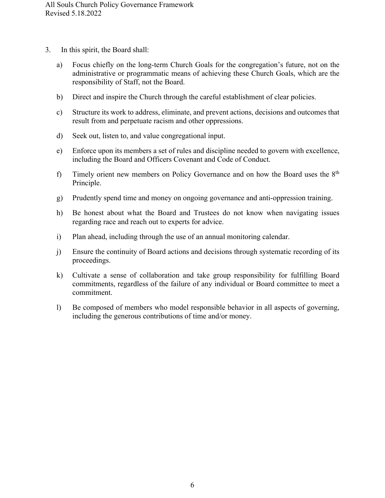- 3. In this spirit, the Board shall:
	- a) Focus chiefly on the long-term Church Goals for the congregation's future, not on the administrative or programmatic means of achieving these Church Goals, which are the responsibility of Staff, not the Board.
	- b) Direct and inspire the Church through the careful establishment of clear policies.
	- c) Structure its work to address, eliminate, and prevent actions, decisions and outcomes that result from and perpetuate racism and other oppressions.
	- d) Seek out, listen to, and value congregational input.
	- e) Enforce upon its members a set of rules and discipline needed to govern with excellence, including the Board and Officers Covenant and Code of Conduct.
	- f) Timely orient new members on Policy Governance and on how the Board uses the  $8<sup>th</sup>$ Principle.
	- g) Prudently spend time and money on ongoing governance and anti-oppression training.
	- h) Be honest about what the Board and Trustees do not know when navigating issues regarding race and reach out to experts for advice.
	- i) Plan ahead, including through the use of an annual monitoring calendar.
	- j) Ensure the continuity of Board actions and decisions through systematic recording of its proceedings.
	- k) Cultivate a sense of collaboration and take group responsibility for fulfilling Board commitments, regardless of the failure of any individual or Board committee to meet a commitment.
	- l) Be composed of members who model responsible behavior in all aspects of governing, including the generous contributions of time and/or money.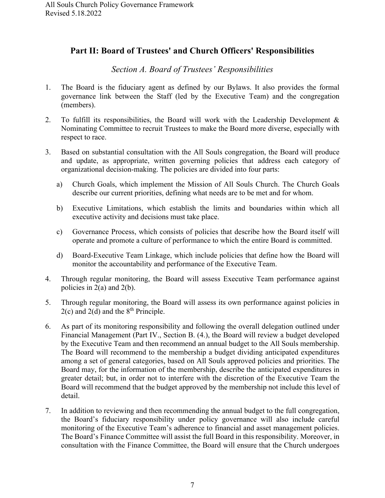## <span id="page-6-0"></span>**Part II: Board of Trustees' and Church Officers' Responsibilities**

## *Section A. Board of Trustees' Responsibilities*

- <span id="page-6-1"></span>1. The Board is the fiduciary agent as defined by our Bylaws. It also provides the formal governance link between the Staff (led by the Executive Team) and the congregation (members).
- 2. To fulfill its responsibilities, the Board will work with the Leadership Development & Nominating Committee to recruit Trustees to make the Board more diverse, especially with respect to race.
- 3. Based on substantial consultation with the All Souls congregation, the Board will produce and update, as appropriate, written governing policies that address each category of organizational decision-making. The policies are divided into four parts:
	- a) Church Goals, which implement the Mission of All Souls Church. The Church Goals describe our current priorities, defining what needs are to be met and for whom.
	- b) Executive Limitations, which establish the limits and boundaries within which all executive activity and decisions must take place.
	- c) Governance Process, which consists of policies that describe how the Board itself will operate and promote a culture of performance to which the entire Board is committed.
	- d) Board-Executive Team Linkage, which include policies that define how the Board will monitor the accountability and performance of the Executive Team.
- 4. Through regular monitoring, the Board will assess Executive Team performance against policies in 2(a) and 2(b).
- 5. Through regular monitoring, the Board will assess its own performance against policies in  $2(c)$  and  $2(d)$  and the  $8<sup>th</sup>$  Principle.
- 6. As part of its monitoring responsibility and following the overall delegation outlined under Financial Management (Part IV., Section B. (4.), the Board will review a budget developed by the Executive Team and then recommend an annual budget to the All Souls membership. The Board will recommend to the membership a budget dividing anticipated expenditures among a set of general categories, based on All Souls approved policies and priorities. The Board may, for the information of the membership, describe the anticipated expenditures in greater detail; but, in order not to interfere with the discretion of the Executive Team the Board will recommend that the budget approved by the membership not include this level of detail.
- 7. In addition to reviewing and then recommending the annual budget to the full congregation, the Board's fiduciary responsibility under policy governance will also include careful monitoring of the Executive Team's adherence to financial and asset management policies. The Board's Finance Committee will assist the full Board in this responsibility. Moreover, in consultation with the Finance Committee, the Board will ensure that the Church undergoes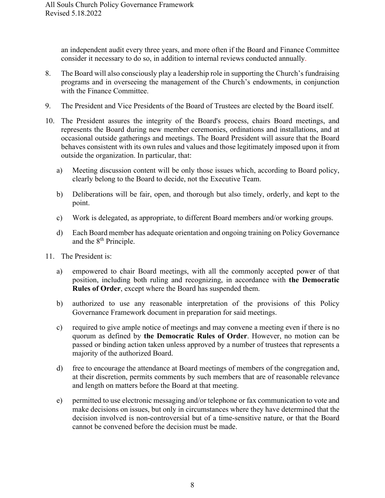an independent audit every three years, and more often if the Board and Finance Committee consider it necessary to do so, in addition to internal reviews conducted annually.

- 8. The Board will also consciously play a leadership role in supporting the Church's fundraising programs and in overseeing the management of the Church's endowments, in conjunction with the Finance Committee.
- 9. The President and Vice Presidents of the Board of Trustees are elected by the Board itself.
- 10. The President assures the integrity of the Board's process, chairs Board meetings, and represents the Board during new member ceremonies, ordinations and installations, and at occasional outside gatherings and meetings. The Board President will assure that the Board behaves consistent with its own rules and values and those legitimately imposed upon it from outside the organization. In particular, that:
	- a) Meeting discussion content will be only those issues which, according to Board policy, clearly belong to the Board to decide, not the Executive Team.
	- b) Deliberations will be fair, open, and thorough but also timely, orderly, and kept to the point.
	- c) Work is delegated, as appropriate, to different Board members and/or working groups.
	- d) Each Board member has adequate orientation and ongoing training on Policy Governance and the 8<sup>th</sup> Principle.
- 11. The President is:
	- a) empowered to chair Board meetings, with all the commonly accepted power of that position, including both ruling and recognizing, in accordance with **the Democratic Rules of Order**, except where the Board has suspended them.
	- b) authorized to use any reasonable interpretation of the provisions of this Policy Governance Framework document in preparation for said meetings.
	- c) required to give ample notice of meetings and may convene a meeting even if there is no quorum as defined by **the Democratic Rules of Order**. However, no motion can be passed or binding action taken unless approved by a number of trustees that represents a majority of the authorized Board.
	- d) free to encourage the attendance at Board meetings of members of the congregation and, at their discretion, permits comments by such members that are of reasonable relevance and length on matters before the Board at that meeting.
	- e) permitted to use electronic messaging and/or telephone or fax communication to vote and make decisions on issues, but only in circumstances where they have determined that the decision involved is non-controversial but of a time-sensitive nature, or that the Board cannot be convened before the decision must be made.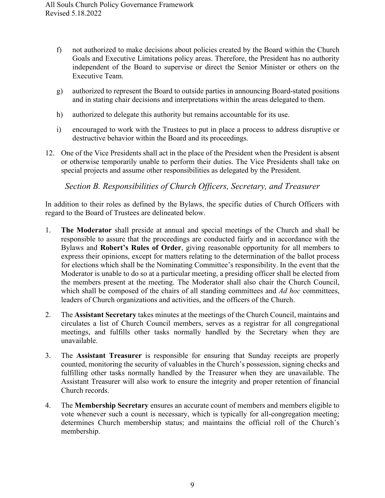- f) not authorized to make decisions about policies created by the Board within the Church Goals and Executive Limitations policy areas. Therefore, the President has no authority independent of the Board to supervise or direct the Senior Minister or others on the Executive Team.
- g) authorized to represent the Board to outside parties in announcing Board-stated positions and in stating chair decisions and interpretations within the areas delegated to them.
- h) authorized to delegate this authority but remains accountable for its use.
- i) encouraged to work with the Trustees to put in place a process to address disruptive or destructive behavior within the Board and its proceedings.
- 12. One of the Vice Presidents shall act in the place of the President when the President is absent or otherwise temporarily unable to perform their duties. The Vice Presidents shall take on special projects and assume other responsibilities as delegated by the President.

*Section B. Responsibilities of Church Officers, Secretary, and Treasurer*

<span id="page-8-0"></span>In addition to their roles as defined by the Bylaws, the specific duties of Church Officers with regard to the Board of Trustees are delineated below.

- 1. **The Moderator** shall preside at annual and special meetings of the Church and shall be responsible to assure that the proceedings are conducted fairly and in accordance with the Bylaws and **Robert's Rules of Order**, giving reasonable opportunity for all members to express their opinions, except for matters relating to the determination of the ballot process for elections which shall be the Nominating Committee's responsibility. In the event that the Moderator is unable to do so at a particular meeting, a presiding officer shall be elected from the members present at the meeting. The Moderator shall also chair the Church Council, which shall be composed of the chairs of all standing committees and *Ad hoc* committees, leaders of Church organizations and activities, and the officers of the Church.
- 2. The **Assistant Secretary** takes minutes at the meetings of the Church Council, maintains and circulates a list of Church Council members, serves as a registrar for all congregational meetings, and fulfills other tasks normally handled by the Secretary when they are unavailable.
- 3. The **Assistant Treasurer** is responsible for ensuring that Sunday receipts are properly counted, monitoring the security of valuables in the Church's possession, signing checks and fulfilling other tasks normally handled by the Treasurer when they are unavailable. The Assistant Treasurer will also work to ensure the integrity and proper retention of financial Church records.
- 4. The **Membership Secretary** ensures an accurate count of members and members eligible to vote whenever such a count is necessary, which is typically for all-congregation meeting; determines Church membership status; and maintains the official roll of the Church's membership.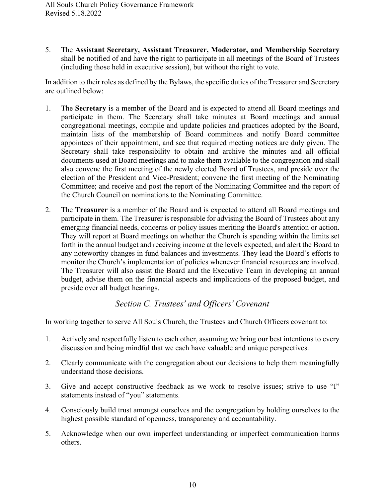5. The **Assistant Secretary, Assistant Treasurer, Moderator, and Membership Secretary**  shall be notified of and have the right to participate in all meetings of the Board of Trustees (including those held in executive session), but without the right to vote.

In addition to their roles as defined by the Bylaws, the specific duties of the Treasurer and Secretary are outlined below:

- 1. The **Secretary** is a member of the Board and is expected to attend all Board meetings and participate in them. The Secretary shall take minutes at Board meetings and annual congregational meetings, compile and update policies and practices adopted by the Board, maintain lists of the membership of Board committees and notify Board committee appointees of their appointment, and see that required meeting notices are duly given. The Secretary shall take responsibility to obtain and archive the minutes and all official documents used at Board meetings and to make them available to the congregation and shall also convene the first meeting of the newly elected Board of Trustees, and preside over the election of the President and Vice-President; convene the first meeting of the Nominating Committee; and receive and post the report of the Nominating Committee and the report of the Church Council on nominations to the Nominating Committee.
- 2. The **Treasurer** is a member of the Board and is expected to attend all Board meetings and participate in them. The Treasurer is responsible for advising the Board of Trustees about any emerging financial needs, concerns or policy issues meriting the Board's attention or action. They will report at Board meetings on whether the Church is spending within the limits set forth in the annual budget and receiving income at the levels expected, and alert the Board to any noteworthy changes in fund balances and investments. They lead the Board's efforts to monitor the Church's implementation of policies whenever financial resources are involved. The Treasurer will also assist the Board and the Executive Team in developing an annual budget, advise them on the financial aspects and implications of the proposed budget, and preside over all budget hearings.

## *Section C. Trustees' and Officers' Covenant*

<span id="page-9-0"></span>In working together to serve All Souls Church, the Trustees and Church Officers covenant to:

- 1. Actively and respectfully listen to each other, assuming we bring our best intentions to every discussion and being mindful that we each have valuable and unique perspectives.
- 2. Clearly communicate with the congregation about our decisions to help them meaningfully understand those decisions.
- 3. Give and accept constructive feedback as we work to resolve issues; strive to use "I" statements instead of "you" statements.
- 4. Consciously build trust amongst ourselves and the congregation by holding ourselves to the highest possible standard of openness, transparency and accountability.
- 5. Acknowledge when our own imperfect understanding or imperfect communication harms others.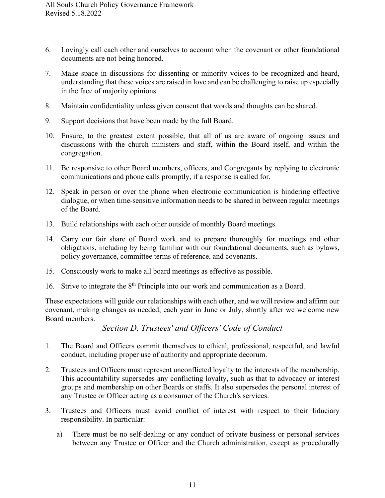- 6. Lovingly call each other and ourselves to account when the covenant or other foundational documents are not being honored.
- 7. Make space in discussions for dissenting or minority voices to be recognized and heard, understanding that these voices are raised in love and can be challenging to raise up especially in the face of majority opinions.
- 8. Maintain confidentiality unless given consent that words and thoughts can be shared.
- 9. Support decisions that have been made by the full Board.
- 10. Ensure, to the greatest extent possible, that all of us are aware of ongoing issues and discussions with the church ministers and staff, within the Board itself, and within the congregation.
- 11. Be responsive to other Board members, officers, and Congregants by replying to electronic communications and phone calls promptly, if a response is called for.
- 12. Speak in person or over the phone when electronic communication is hindering effective dialogue, or when time-sensitive information needs to be shared in between regular meetings of the Board.
- 13. Build relationships with each other outside of monthly Board meetings.
- 14. Carry our fair share of Board work and to prepare thoroughly for meetings and other obligations, including by being familiar with our foundational documents, such as bylaws, policy governance, committee terms of reference, and covenants.
- 15. Consciously work to make all board meetings as effective as possible.
- 16. Strive to integrate the 8<sup>th</sup> Principle into our work and communication as a Board.

These expectations will guide our relationships with each other, and we will review and affirm our covenant, making changes as needed, each year in June or July, shortly after we welcome new Board members.

#### *Section D. Trustees' and Officers' Code of Conduct*

- <span id="page-10-0"></span>1. The Board and Officers commit themselves to ethical, professional, respectful, and lawful conduct, including proper use of authority and appropriate decorum.
- 2. Trustees and Officers must represent unconflicted loyalty to the interests of the membership. This accountability supersedes any conflicting loyalty, such as that to advocacy or interest groups and membership on other Boards or staffs. It also supersedes the personal interest of any Trustee or Officer acting as a consumer of the Church's services.
- 3. Trustees and Officers must avoid conflict of interest with respect to their fiduciary responsibility. In particular:
	- a) There must be no self-dealing or any conduct of private business or personal services between any Trustee or Officer and the Church administration, except as procedurally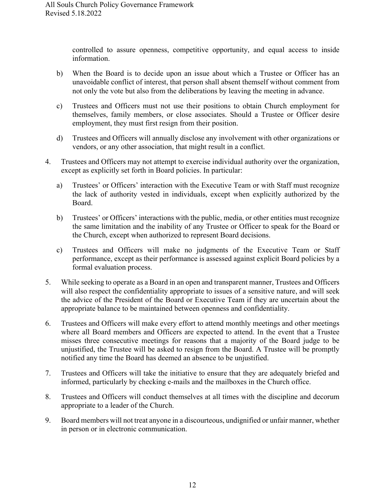controlled to assure openness, competitive opportunity, and equal access to inside information.

- b) When the Board is to decide upon an issue about which a Trustee or Officer has an unavoidable conflict of interest, that person shall absent themself without comment from not only the vote but also from the deliberations by leaving the meeting in advance.
- c) Trustees and Officers must not use their positions to obtain Church employment for themselves, family members, or close associates. Should a Trustee or Officer desire employment, they must first resign from their position.
- d) Trustees and Officers will annually disclose any involvement with other organizations or vendors, or any other association, that might result in a conflict.
- 4. Trustees and Officers may not attempt to exercise individual authority over the organization, except as explicitly set forth in Board policies. In particular:
	- a) Trustees' or Officers' interaction with the Executive Team or with Staff must recognize the lack of authority vested in individuals, except when explicitly authorized by the Board.
	- b) Trustees' or Officers' interactions with the public, media, or other entities must recognize the same limitation and the inability of any Trustee or Officer to speak for the Board or the Church, except when authorized to represent Board decisions.
	- c) Trustees and Officers will make no judgments of the Executive Team or Staff performance, except as their performance is assessed against explicit Board policies by a formal evaluation process.
- 5. While seeking to operate as a Board in an open and transparent manner, Trustees and Officers will also respect the confidentiality appropriate to issues of a sensitive nature, and will seek the advice of the President of the Board or Executive Team if they are uncertain about the appropriate balance to be maintained between openness and confidentiality.
- 6. Trustees and Officers will make every effort to attend monthly meetings and other meetings where all Board members and Officers are expected to attend. In the event that a Trustee misses three consecutive meetings for reasons that a majority of the Board judge to be unjustified, the Trustee will be asked to resign from the Board. A Trustee will be promptly notified any time the Board has deemed an absence to be unjustified.
- 7. Trustees and Officers will take the initiative to ensure that they are adequately briefed and informed, particularly by checking e-mails and the mailboxes in the Church office.
- 8. Trustees and Officers will conduct themselves at all times with the discipline and decorum appropriate to a leader of the Church.
- 9. Board members will not treat anyone in a discourteous, undignified or unfair manner, whether in person or in electronic communication.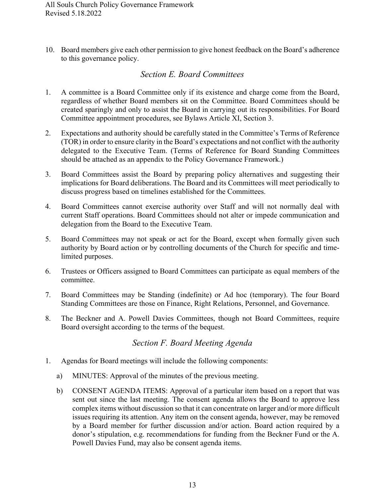10. Board members give each other permission to give honest feedback on the Board's adherence to this governance policy.

### *Section E. Board Committees*

- <span id="page-12-0"></span>1. A committee is a Board Committee only if its existence and charge come from the Board, regardless of whether Board members sit on the Committee. Board Committees should be created sparingly and only to assist the Board in carrying out its responsibilities. For Board Committee appointment procedures, see Bylaws Article XI, Section 3.
- 2. Expectations and authority should be carefully stated in the Committee's Terms of Reference (TOR) in order to ensure clarity in the Board's expectations and not conflict with the authority delegated to the Executive Team. (Terms of Reference for Board Standing Committees should be attached as an appendix to the Policy Governance Framework.)
- 3. Board Committees assist the Board by preparing policy alternatives and suggesting their implications for Board deliberations. The Board and its Committees will meet periodically to discuss progress based on timelines established for the Committees.
- 4. Board Committees cannot exercise authority over Staff and will not normally deal with current Staff operations. Board Committees should not alter or impede communication and delegation from the Board to the Executive Team.
- 5. Board Committees may not speak or act for the Board, except when formally given such authority by Board action or by controlling documents of the Church for specific and timelimited purposes.
- 6. Trustees or Officers assigned to Board Committees can participate as equal members of the committee.
- 7. Board Committees may be Standing (indefinite) or Ad hoc (temporary). The four Board Standing Committees are those on Finance, Right Relations, Personnel, and Governance.
- 8. The Beckner and A. Powell Davies Committees, though not Board Committees, require Board oversight according to the terms of the bequest.

## *Section F. Board Meeting Agenda*

- <span id="page-12-1"></span>1. Agendas for Board meetings will include the following components:
	- a) MINUTES: Approval of the minutes of the previous meeting.
	- b) CONSENT AGENDA ITEMS: Approval of a particular item based on a report that was sent out since the last meeting. The consent agenda allows the Board to approve less complex items without discussion so that it can concentrate on larger and/or more difficult issues requiring its attention. Any item on the consent agenda, however, may be removed by a Board member for further discussion and/or action. Board action required by a donor's stipulation, e.g. recommendations for funding from the Beckner Fund or the A. Powell Davies Fund, may also be consent agenda items.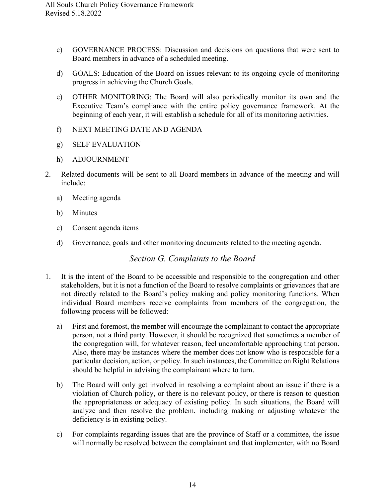- c) GOVERNANCE PROCESS: Discussion and decisions on questions that were sent to Board members in advance of a scheduled meeting.
- d) GOALS: Education of the Board on issues relevant to its ongoing cycle of monitoring progress in achieving the Church Goals.
- e) OTHER MONITORING: The Board will also periodically monitor its own and the Executive Team's compliance with the entire policy governance framework. At the beginning of each year, it will establish a schedule for all of its monitoring activities.
- f) NEXT MEETING DATE AND AGENDA
- g) SELF EVALUATION
- h) ADJOURNMENT
- 2. Related documents will be sent to all Board members in advance of the meeting and will include:
	- a) Meeting agenda
	- b) Minutes
	- c) Consent agenda items
	- d) Governance, goals and other monitoring documents related to the meeting agenda.

## *Section G. Complaints to the Board*

- <span id="page-13-0"></span>1. It is the intent of the Board to be accessible and responsible to the congregation and other stakeholders, but it is not a function of the Board to resolve complaints or grievances that are not directly related to the Board's policy making and policy monitoring functions. When individual Board members receive complaints from members of the congregation, the following process will be followed:
	- a) First and foremost, the member will encourage the complainant to contact the appropriate person, not a third party. However, it should be recognized that sometimes a member of the congregation will, for whatever reason, feel uncomfortable approaching that person. Also, there may be instances where the member does not know who is responsible for a particular decision, action, or policy. In such instances, the Committee on Right Relations should be helpful in advising the complainant where to turn.
	- b) The Board will only get involved in resolving a complaint about an issue if there is a violation of Church policy, or there is no relevant policy, or there is reason to question the appropriateness or adequacy of existing policy. In such situations, the Board will analyze and then resolve the problem, including making or adjusting whatever the deficiency is in existing policy.
	- c) For complaints regarding issues that are the province of Staff or a committee, the issue will normally be resolved between the complainant and that implementer, with no Board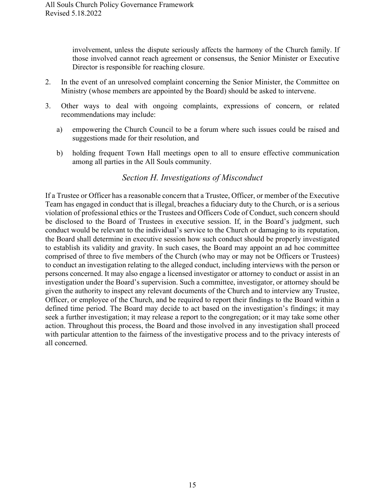involvement, unless the dispute seriously affects the harmony of the Church family. If those involved cannot reach agreement or consensus, the Senior Minister or Executive Director is responsible for reaching closure.

- 2. In the event of an unresolved complaint concerning the Senior Minister, the Committee on Ministry (whose members are appointed by the Board) should be asked to intervene.
- 3. Other ways to deal with ongoing complaints, expressions of concern, or related recommendations may include:
	- a) empowering the Church Council to be a forum where such issues could be raised and suggestions made for their resolution, and
	- b) holding frequent Town Hall meetings open to all to ensure effective communication among all parties in the All Souls community.

#### *Section H. Investigations of Misconduct*

<span id="page-14-0"></span>If a Trustee or Officer has a reasonable concern that a Trustee, Officer, or member of the Executive Team has engaged in conduct that is illegal, breaches a fiduciary duty to the Church, or is a serious violation of professional ethics or the Trustees and Officers Code of Conduct, such concern should be disclosed to the Board of Trustees in executive session. If, in the Board's judgment, such conduct would be relevant to the individual's service to the Church or damaging to its reputation, the Board shall determine in executive session how such conduct should be properly investigated to establish its validity and gravity. In such cases, the Board may appoint an ad hoc committee comprised of three to five members of the Church (who may or may not be Officers or Trustees) to conduct an investigation relating to the alleged conduct, including interviews with the person or persons concerned. It may also engage a licensed investigator or attorney to conduct or assist in an investigation under the Board's supervision. Such a committee, investigator, or attorney should be given the authority to inspect any relevant documents of the Church and to interview any Trustee, Officer, or employee of the Church, and be required to report their findings to the Board within a defined time period. The Board may decide to act based on the investigation's findings; it may seek a further investigation; it may release a report to the congregation; or it may take some other action. Throughout this process, the Board and those involved in any investigation shall proceed with particular attention to the fairness of the investigative process and to the privacy interests of all concerned.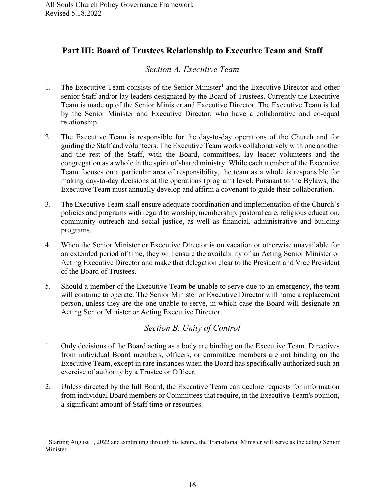## <span id="page-15-0"></span>**Part III: Board of Trustees Relationship to Executive Team and Staff**

## *Section A. Executive Team*

- <span id="page-15-1"></span>[1](#page-15-3). The Executive Team consists of the Senior Minister<sup>1</sup> and the Executive Director and other senior Staff and/or lay leaders designated by the Board of Trustees. Currently the Executive Team is made up of the Senior Minister and Executive Director. The Executive Team is led by the Senior Minister and Executive Director, who have a collaborative and co-equal relationship.
- 2. The Executive Team is responsible for the day-to-day operations of the Church and for guiding the Staff and volunteers. The Executive Team works collaboratively with one another and the rest of the Staff, with the Board, committees, lay leader volunteers and the congregation as a whole in the spirit of shared ministry. While each member of the Executive Team focuses on a particular area of responsibility, the team as a whole is responsible for making day-to-day decisions at the operations (program) level. Pursuant to the Bylaws, the Executive Team must annually develop and affirm a covenant to guide their collaboration.
- 3. The Executive Team shall ensure adequate coordination and implementation of the Church's policies and programs with regard to worship, membership, pastoral care, religious education, community outreach and social justice, as well as financial, administrative and building programs.
- 4. When the Senior Minister or Executive Director is on vacation or otherwise unavailable for an extended period of time, they will ensure the availability of an Acting Senior Minister or Acting Executive Director and make that delegation clear to the President and Vice President of the Board of Trustees.
- 5. Should a member of the Executive Team be unable to serve due to an emergency, the team will continue to operate. The Senior Minister or Executive Director will name a replacement person, unless they are the one unable to serve, in which case the Board will designate an Acting Senior Minister or Acting Executive Director.

## *Section B. Unity of Control*

- <span id="page-15-2"></span>1. Only decisions of the Board acting as a body are binding on the Executive Team. Directives from individual Board members, officers, or committee members are not binding on the Executive Team, except in rare instances when the Board has specifically authorized such an exercise of authority by a Trustee or Officer.
- 2. Unless directed by the full Board, the Executive Team can decline requests for information from individual Board members or Committees that require, in the Executive Team's opinion, a significant amount of Staff time or resources.

<span id="page-15-3"></span><sup>&</sup>lt;sup>1</sup> Starting August 1, 2022 and continuing through his tenure, the Transitional Minister will serve as the acting Senior Minister.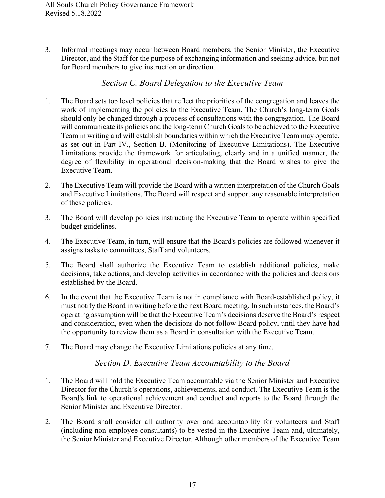3. Informal meetings may occur between Board members, the Senior Minister, the Executive Director, and the Staff for the purpose of exchanging information and seeking advice, but not for Board members to give instruction or direction.

#### *Section C. Board Delegation to the Executive Team*

- <span id="page-16-0"></span>1. The Board sets top level policies that reflect the priorities of the congregation and leaves the work of implementing the policies to the Executive Team. The Church's long-term Goals should only be changed through a process of consultations with the congregation. The Board will communicate its policies and the long-term Church Goals to be achieved to the Executive Team in writing and will establish boundaries within which the Executive Team may operate, as set out in Part IV., Section B. (Monitoring of Executive Limitations). The Executive Limitations provide the framework for articulating, clearly and in a unified manner, the degree of flexibility in operational decision-making that the Board wishes to give the Executive Team.
- 2. The Executive Team will provide the Board with a written interpretation of the Church Goals and Executive Limitations. The Board will respect and support any reasonable interpretation of these policies.
- 3. The Board will develop policies instructing the Executive Team to operate within specified budget guidelines.
- 4. The Executive Team, in turn, will ensure that the Board's policies are followed whenever it assigns tasks to committees, Staff and volunteers.
- 5. The Board shall authorize the Executive Team to establish additional policies, make decisions, take actions, and develop activities in accordance with the policies and decisions established by the Board.
- 6. In the event that the Executive Team is not in compliance with Board-established policy, it must notify the Board in writing before the next Board meeting. In such instances, the Board's operating assumption will be that the Executive Team's decisions deserve the Board's respect and consideration, even when the decisions do not follow Board policy, until they have had the opportunity to review them as a Board in consultation with the Executive Team.
- <span id="page-16-1"></span>7. The Board may change the Executive Limitations policies at any time.

#### *Section D. Executive Team Accountability to the Board*

- 1. The Board will hold the Executive Team accountable via the Senior Minister and Executive Director for the Church's operations, achievements, and conduct. The Executive Team is the Board's link to operational achievement and conduct and reports to the Board through the Senior Minister and Executive Director.
- 2. The Board shall consider all authority over and accountability for volunteers and Staff (including non-employee consultants) to be vested in the Executive Team and, ultimately, the Senior Minister and Executive Director. Although other members of the Executive Team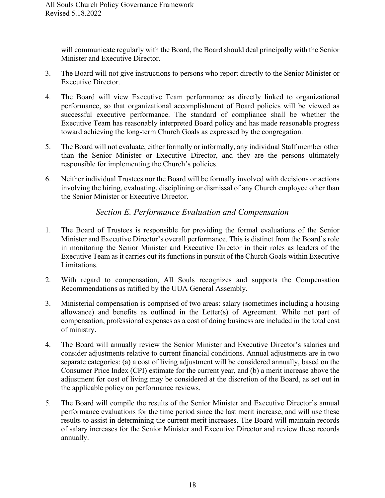will communicate regularly with the Board, the Board should deal principally with the Senior Minister and Executive Director.

- 3. The Board will not give instructions to persons who report directly to the Senior Minister or Executive Director.
- 4. The Board will view Executive Team performance as directly linked to organizational performance, so that organizational accomplishment of Board policies will be viewed as successful executive performance. The standard of compliance shall be whether the Executive Team has reasonably interpreted Board policy and has made reasonable progress toward achieving the long-term Church Goals as expressed by the congregation.
- 5. The Board will not evaluate, either formally or informally, any individual Staff member other than the Senior Minister or Executive Director, and they are the persons ultimately responsible for implementing the Church's policies.
- 6. Neither individual Trustees nor the Board will be formally involved with decisions or actions involving the hiring, evaluating, disciplining or dismissal of any Church employee other than the Senior Minister or Executive Director.

### *Section E. Performance Evaluation and Compensation*

- <span id="page-17-0"></span>1. The Board of Trustees is responsible for providing the formal evaluations of the Senior Minister and Executive Director's overall performance. This is distinct from the Board's role in monitoring the Senior Minister and Executive Director in their roles as leaders of the Executive Team as it carries out its functions in pursuit of the Church Goals within Executive Limitations.
- 2. With regard to compensation, All Souls recognizes and supports the Compensation Recommendations as ratified by the UUA General Assembly.
- 3. Ministerial compensation is comprised of two areas: salary (sometimes including a housing allowance) and benefits as outlined in the Letter(s) of Agreement. While not part of compensation, professional expenses as a cost of doing business are included in the total cost of ministry.
- 4. The Board will annually review the Senior Minister and Executive Director's salaries and consider adjustments relative to current financial conditions. Annual adjustments are in two separate categories: (a) a cost of living adjustment will be considered annually, based on the Consumer Price Index (CPI) estimate for the current year, and (b) a merit increase above the adjustment for cost of living may be considered at the discretion of the Board, as set out in the applicable policy on performance reviews.
- 5. The Board will compile the results of the Senior Minister and Executive Director's annual performance evaluations for the time period since the last merit increase, and will use these results to assist in determining the current merit increases. The Board will maintain records of salary increases for the Senior Minister and Executive Director and review these records annually.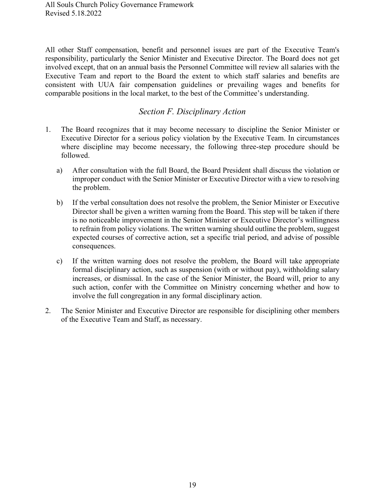All other Staff compensation, benefit and personnel issues are part of the Executive Team's responsibility, particularly the Senior Minister and Executive Director. The Board does not get involved except, that on an annual basis the Personnel Committee will review all salaries with the Executive Team and report to the Board the extent to which staff salaries and benefits are consistent with UUA fair compensation guidelines or prevailing wages and benefits for comparable positions in the local market, to the best of the Committee's understanding.

#### *Section F. Disciplinary Action*

- <span id="page-18-0"></span>1. The Board recognizes that it may become necessary to discipline the Senior Minister or Executive Director for a serious policy violation by the Executive Team. In circumstances where discipline may become necessary, the following three-step procedure should be followed.
	- a) After consultation with the full Board, the Board President shall discuss the violation or improper conduct with the Senior Minister or Executive Director with a view to resolving the problem.
	- b) If the verbal consultation does not resolve the problem, the Senior Minister or Executive Director shall be given a written warning from the Board. This step will be taken if there is no noticeable improvement in the Senior Minister or Executive Director's willingness to refrain from policy violations. The written warning should outline the problem, suggest expected courses of corrective action, set a specific trial period, and advise of possible consequences.
	- c) If the written warning does not resolve the problem, the Board will take appropriate formal disciplinary action, such as suspension (with or without pay), withholding salary increases, or dismissal. In the case of the Senior Minister, the Board will, prior to any such action, confer with the Committee on Ministry concerning whether and how to involve the full congregation in any formal disciplinary action.
- 2. The Senior Minister and Executive Director are responsible for disciplining other members of the Executive Team and Staff, as necessary.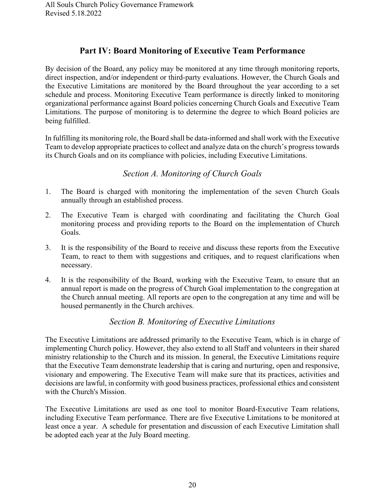## **Part IV: Board Monitoring of Executive Team Performance**

<span id="page-19-0"></span>By decision of the Board, any policy may be monitored at any time through monitoring reports, direct inspection, and/or independent or third-party evaluations. However, the Church Goals and the Executive Limitations are monitored by the Board throughout the year according to a set schedule and process. Monitoring Executive Team performance is directly linked to monitoring organizational performance against Board policies concerning Church Goals and Executive Team Limitations. The purpose of monitoring is to determine the degree to which Board policies are being fulfilled.

In fulfilling its monitoring role, the Board shall be data-informed and shall work with the Executive Team to develop appropriate practices to collect and analyze data on the church's progress towards its Church Goals and on its compliance with policies, including Executive Limitations.

## *Section A. Monitoring of Church Goals*

- <span id="page-19-1"></span>1. The Board is charged with monitoring the implementation of the seven Church Goals annually through an established process.
- 2. The Executive Team is charged with coordinating and facilitating the Church Goal monitoring process and providing reports to the Board on the implementation of Church Goals.
- 3. It is the responsibility of the Board to receive and discuss these reports from the Executive Team, to react to them with suggestions and critiques, and to request clarifications when necessary.
- 4. It is the responsibility of the Board, working with the Executive Team, to ensure that an annual report is made on the progress of Church Goal implementation to the congregation at the Church annual meeting. All reports are open to the congregation at any time and will be housed permanently in the Church archives.

## *Section B. Monitoring of Executive Limitations*

<span id="page-19-2"></span>The Executive Limitations are addressed primarily to the Executive Team, which is in charge of implementing Church policy. However, they also extend to all Staff and volunteers in their shared ministry relationship to the Church and its mission. In general, the Executive Limitations require that the Executive Team demonstrate leadership that is caring and nurturing, open and responsive, visionary and empowering. The Executive Team will make sure that its practices, activities and decisions are lawful, in conformity with good business practices, professional ethics and consistent with the Church's Mission.

The Executive Limitations are used as one tool to monitor Board-Executive Team relations, including Executive Team performance. There are five Executive Limitations to be monitored at least once a year. A schedule for presentation and discussion of each Executive Limitation shall be adopted each year at the July Board meeting.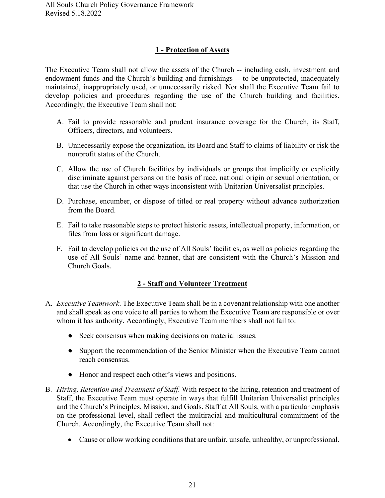#### **1 - Protection of Assets**

<span id="page-20-0"></span>The Executive Team shall not allow the assets of the Church -- including cash, investment and endowment funds and the Church's building and furnishings -- to be unprotected, inadequately maintained, inappropriately used, or unnecessarily risked. Nor shall the Executive Team fail to develop policies and procedures regarding the use of the Church building and facilities. Accordingly, the Executive Team shall not:

- A. Fail to provide reasonable and prudent insurance coverage for the Church, its Staff, Officers, directors, and volunteers.
- B. Unnecessarily expose the organization, its Board and Staff to claims of liability or risk the nonprofit status of the Church.
- C. Allow the use of Church facilities by individuals or groups that implicitly or explicitly discriminate against persons on the basis of race, national origin or sexual orientation, or that use the Church in other ways inconsistent with Unitarian Universalist principles.
- D. Purchase, encumber, or dispose of titled or real property without advance authorization from the Board.
- E. Fail to take reasonable steps to protect historic assets, intellectual property, information, or files from loss or significant damage.
- F. Fail to develop policies on the use of All Souls' facilities, as well as policies regarding the use of All Souls' name and banner, that are consistent with the Church's Mission and Church Goals.

#### **2 - Staff and Volunteer Treatment**

- <span id="page-20-1"></span>A. *Executive Teamwork*. The Executive Team shall be in a covenant relationship with one another and shall speak as one voice to all parties to whom the Executive Team are responsible or over whom it has authority. Accordingly, Executive Team members shall not fail to:
	- Seek consensus when making decisions on material issues.
	- Support the recommendation of the Senior Minister when the Executive Team cannot reach consensus.
	- Honor and respect each other's views and positions.
- B. *Hiring, Retention and Treatment of Staff.* With respect to the hiring, retention and treatment of Staff, the Executive Team must operate in ways that fulfill Unitarian Universalist principles and the Church's Principles, Mission, and Goals. Staff at All Souls, with a particular emphasis on the professional level, shall reflect the multiracial and multicultural commitment of the Church. Accordingly, the Executive Team shall not:
	- Cause or allow working conditions that are unfair, unsafe, unhealthy, or unprofessional.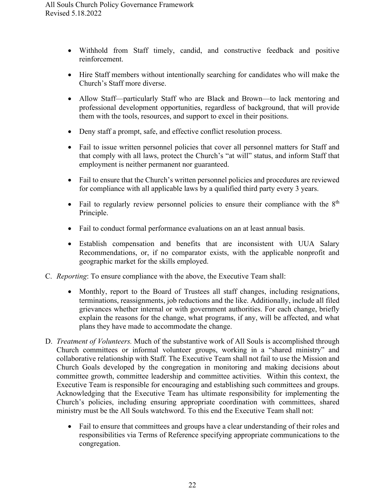- Withhold from Staff timely, candid, and constructive feedback and positive reinforcement.
- Hire Staff members without intentionally searching for candidates who will make the Church's Staff more diverse.
- Allow Staff—particularly Staff who are Black and Brown—to lack mentoring and professional development opportunities, regardless of background, that will provide them with the tools, resources, and support to excel in their positions.
- Deny staff a prompt, safe, and effective conflict resolution process.
- Fail to issue written personnel policies that cover all personnel matters for Staff and that comply with all laws, protect the Church's "at will" status, and inform Staff that employment is neither permanent nor guaranteed.
- Fail to ensure that the Church's written personnel policies and procedures are reviewed for compliance with all applicable laws by a qualified third party every 3 years.
- Fail to regularly review personnel policies to ensure their compliance with the  $8<sup>th</sup>$ Principle.
- Fail to conduct formal performance evaluations on an at least annual basis.
- Establish compensation and benefits that are inconsistent with UUA Salary Recommendations, or, if no comparator exists, with the applicable nonprofit and geographic market for the skills employed.
- C. *Reporting*: To ensure compliance with the above, the Executive Team shall:
	- Monthly, report to the Board of Trustees all staff changes, including resignations, terminations, reassignments, job reductions and the like. Additionally, include all filed grievances whether internal or with government authorities. For each change, briefly explain the reasons for the change, what programs, if any, will be affected, and what plans they have made to accommodate the change.
- D. *Treatment of Volunteers.* Much of the substantive work of All Souls is accomplished through Church committees or informal volunteer groups, working in a "shared ministry" and collaborative relationship with Staff. The Executive Team shall not fail to use the Mission and Church Goals developed by the congregation in monitoring and making decisions about committee growth, committee leadership and committee activities. Within this context, the Executive Team is responsible for encouraging and establishing such committees and groups. Acknowledging that the Executive Team has ultimate responsibility for implementing the Church's policies, including ensuring appropriate coordination with committees, shared ministry must be the All Souls watchword. To this end the Executive Team shall not:
	- Fail to ensure that committees and groups have a clear understanding of their roles and responsibilities via Terms of Reference specifying appropriate communications to the congregation.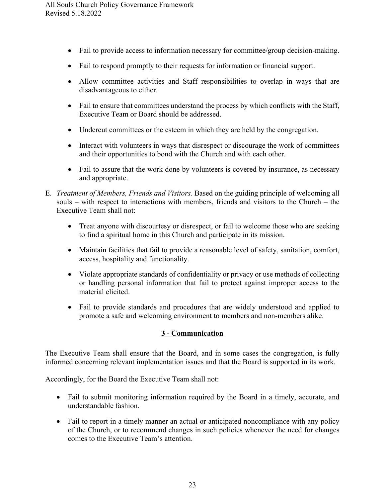- Fail to provide access to information necessary for committee/group decision-making.
- Fail to respond promptly to their requests for information or financial support.
- Allow committee activities and Staff responsibilities to overlap in ways that are disadvantageous to either.
- Fail to ensure that committees understand the process by which conflicts with the Staff, Executive Team or Board should be addressed.
- Undercut committees or the esteem in which they are held by the congregation.
- Interact with volunteers in ways that disrespect or discourage the work of committees and their opportunities to bond with the Church and with each other.
- Fail to assure that the work done by volunteers is covered by insurance, as necessary and appropriate.
- E. *Treatment of Members, Friends and Visitors.* Based on the guiding principle of welcoming all souls – with respect to interactions with members, friends and visitors to the Church – the Executive Team shall not:
	- Treat anyone with discourtesy or disrespect, or fail to welcome those who are seeking to find a spiritual home in this Church and participate in its mission.
	- Maintain facilities that fail to provide a reasonable level of safety, sanitation, comfort, access, hospitality and functionality.
	- Violate appropriate standards of confidentiality or privacy or use methods of collecting or handling personal information that fail to protect against improper access to the material elicited.
	- Fail to provide standards and procedures that are widely understood and applied to promote a safe and welcoming environment to members and non-members alike.

#### **3 - Communication**

<span id="page-22-0"></span>The Executive Team shall ensure that the Board, and in some cases the congregation, is fully informed concerning relevant implementation issues and that the Board is supported in its work.

Accordingly, for the Board the Executive Team shall not:

- Fail to submit monitoring information required by the Board in a timely, accurate, and understandable fashion.
- Fail to report in a timely manner an actual or anticipated noncompliance with any policy of the Church, or to recommend changes in such policies whenever the need for changes comes to the Executive Team's attention.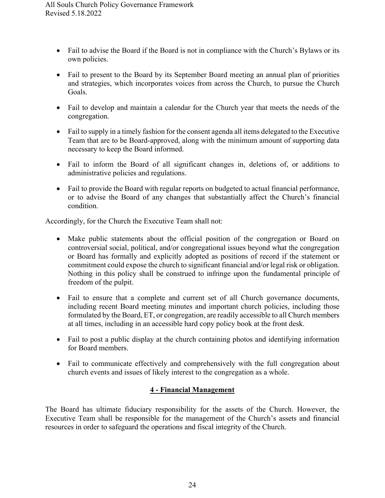- Fail to advise the Board if the Board is not in compliance with the Church's Bylaws or its own policies.
- Fail to present to the Board by its September Board meeting an annual plan of priorities and strategies, which incorporates voices from across the Church, to pursue the Church Goals.
- Fail to develop and maintain a calendar for the Church year that meets the needs of the congregation.
- Fail to supply in a timely fashion for the consent agenda all items delegated to the Executive Team that are to be Board-approved, along with the minimum amount of supporting data necessary to keep the Board informed.
- Fail to inform the Board of all significant changes in, deletions of, or additions to administrative policies and regulations.
- Fail to provide the Board with regular reports on budgeted to actual financial performance, or to advise the Board of any changes that substantially affect the Church's financial condition.

Accordingly, for the Church the Executive Team shall not:

- Make public statements about the official position of the congregation or Board on controversial social, political, and/or congregational issues beyond what the congregation or Board has formally and explicitly adopted as positions of record if the statement or commitment could expose the church to significant financial and/or legal risk or obligation. Nothing in this policy shall be construed to infringe upon the fundamental principle of freedom of the pulpit.
- Fail to ensure that a complete and current set of all Church governance documents, including recent Board meeting minutes and important church policies, including those formulated by the Board, ET, or congregation, are readily accessible to all Church members at all times, including in an accessible hard copy policy book at the front desk.
- Fail to post a public display at the church containing photos and identifying information for Board members.
- Fail to communicate effectively and comprehensively with the full congregation about church events and issues of likely interest to the congregation as a whole.

#### **4 - Financial Management**

<span id="page-23-0"></span>The Board has ultimate fiduciary responsibility for the assets of the Church. However, the Executive Team shall be responsible for the management of the Church's assets and financial resources in order to safeguard the operations and fiscal integrity of the Church.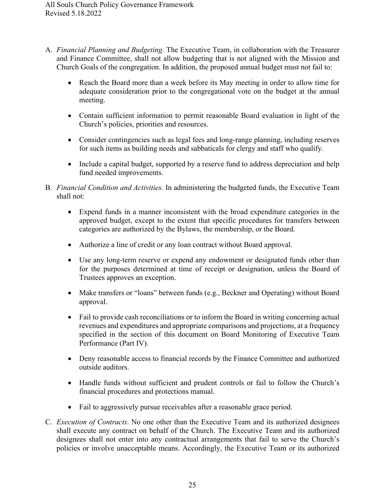- A. *Financial Planning and Budgeting.* The Executive Team, in collaboration with the Treasurer and Finance Committee, shall not allow budgeting that is not aligned with the Mission and Church Goals of the congregation. In addition, the proposed annual budget must not fail to:
	- Reach the Board more than a week before its May meeting in order to allow time for adequate consideration prior to the congregational vote on the budget at the annual meeting.
	- Contain sufficient information to permit reasonable Board evaluation in light of the Church's policies, priorities and resources.
	- Consider contingencies such as legal fees and long-range planning, including reserves for such items as building needs and sabbaticals for clergy and staff who qualify.
	- Include a capital budget, supported by a reserve fund to address depreciation and help fund needed improvements.
- B. *Financial Condition and Activities.* In administering the budgeted funds, the Executive Team shall not:
	- Expend funds in a manner inconsistent with the broad expenditure categories in the approved budget, except to the extent that specific procedures for transfers between categories are authorized by the Bylaws, the membership, or the Board.
	- Authorize a line of credit or any loan contract without Board approval.
	- Use any long-term reserve or expend any endowment or designated funds other than for the purposes determined at time of receipt or designation, unless the Board of Trustees approves an exception.
	- Make transfers or "loans" between funds (e.g., Beckner and Operating) without Board approval.
	- Fail to provide cash reconciliations or to inform the Board in writing concerning actual revenues and expenditures and appropriate comparisons and projections, at a frequency specified in the section of this document on Board Monitoring of Executive Team Performance (Part IV).
	- Deny reasonable access to financial records by the Finance Committee and authorized outside auditors.
	- Handle funds without sufficient and prudent controls or fail to follow the Church's financial procedures and protections manual.
	- Fail to aggressively pursue receivables after a reasonable grace period.
- C. *Execution of Contracts*. No one other than the Executive Team and its authorized designees shall execute any contract on behalf of the Church. The Executive Team and its authorized designees shall not enter into any contractual arrangements that fail to serve the Church's policies or involve unacceptable means. Accordingly, the Executive Team or its authorized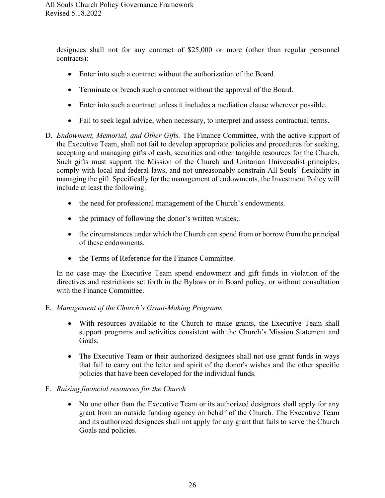designees shall not for any contract of \$25,000 or more (other than regular personnel contracts):

- Enter into such a contract without the authorization of the Board.
- Terminate or breach such a contract without the approval of the Board.
- Enter into such a contract unless it includes a mediation clause wherever possible.
- Fail to seek legal advice, when necessary, to interpret and assess contractual terms.
- D. *Endowment, Memorial, and Other Gifts.* The Finance Committee, with the active support of the Executive Team, shall not fail to develop appropriate policies and procedures for seeking, accepting and managing gifts of cash, securities and other tangible resources for the Church. Such gifts must support the Mission of the Church and Unitarian Universalist principles, comply with local and federal laws, and not unreasonably constrain All Souls' flexibility in managing the gift. Specifically for the management of endowments, the Investment Policy will include at least the following:
	- the need for professional management of the Church's endowments.
	- the primacy of following the donor's written wishes;.
	- the circumstances under which the Church can spend from or borrow from the principal of these endowments.
	- the Terms of Reference for the Finance Committee.

In no case may the Executive Team spend endowment and gift funds in violation of the directives and restrictions set forth in the Bylaws or in Board policy, or without consultation with the Finance Committee.

#### E. *Management of the Church's Grant-Making Programs*

- With resources available to the Church to make grants, the Executive Team shall support programs and activities consistent with the Church's Mission Statement and Goals.
- The Executive Team or their authorized designees shall not use grant funds in ways that fail to carry out the letter and spirit of the donor's wishes and the other specific policies that have been developed for the individual funds.

#### F. *Raising financial resources for the Church*

• No one other than the Executive Team or its authorized designees shall apply for any grant from an outside funding agency on behalf of the Church. The Executive Team and its authorized designees shall not apply for any grant that fails to serve the Church Goals and policies.